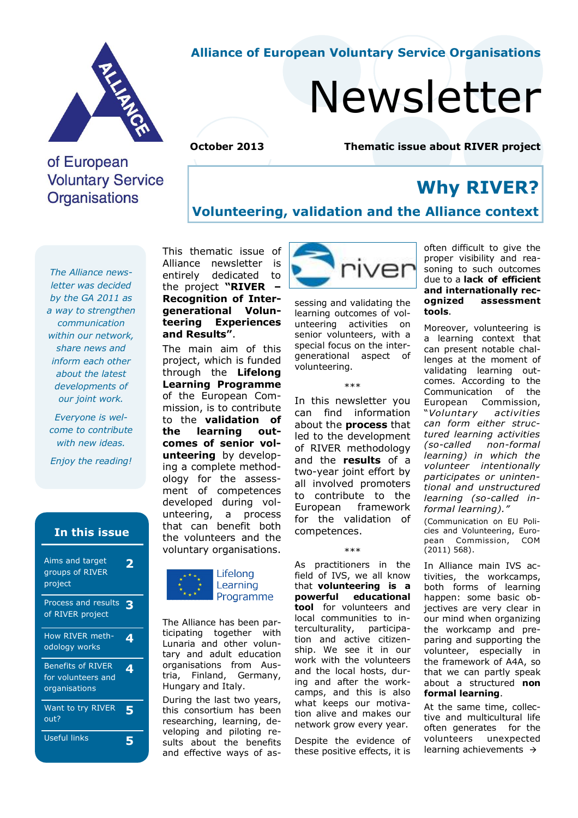

#### **Alliance of European Voluntary Service Organisations**

# Newsletter

## **October 2013 Thematic issue about RIVER project**

## of European **Voluntary Service Organisations**

**Why RIVER?** 

#### **Volunteering, validation and the Alliance context**

*The Alliance newsletter was decided by the GA 2011 as a way to strengthen communication within our network, share news and inform each other about the latest developments of our joint work.* 

*Everyone is welcome to contribute with new ideas.* 

*Enjoy the reading!*

#### **In this issue**

| Aims and target<br>groups of RIVER<br>project                   |   |
|-----------------------------------------------------------------|---|
| Process and results<br>of RIVER project                         | З |
| How RIVER meth-<br>odology works                                | 4 |
| <b>Benefits of RIVER</b><br>for volunteers and<br>organisations | 4 |
| Want to try RIVER<br>out?                                       | 5 |
| Useful links                                                    |   |

This thematic issue of Alliance newsletter is entirely dedicated to the project **"RIVER – Recognition of Intergenerational Volunteering Experiences and Results"**.

The main aim of this project, which is funded through the **Lifelong Learning Programme** of the European Commission, is to contribute to the **validation of the learning outcomes of senior volunteering** by developing a complete methodology for the assessment of competences developed during volunteering, a process that can benefit both the volunteers and the voluntary organisations.



The Alliance has been participating together with Lunaria and other voluntary and adult education organisations from Austria, Finland, Germany, Hungary and Italy.

During the last two years, this consortium has been researching, learning, developing and piloting results about the benefits and effective ways of as-



sessing and validating the learning outcomes of volunteering activities on senior volunteers, with a special focus on the intergenerational aspect of volunteering.

\*\*\*

In this newsletter you can find information about the **process** that led to the development of RIVER methodology and the **results** of a two-year joint effort by all involved promoters to contribute to the European framework for the validation of competences.

\*\*\*

As practitioners in the field of IVS, we all know that **volunteering is a powerful educational tool** for volunteers and local communities to interculturality, participation and active citizenship. We see it in our work with the volunteers and the local hosts, during and after the workcamps, and this is also what keeps our motivation alive and makes our network grow every year.

Despite the evidence of these positive effects, it is

often difficult to give the proper visibility and reasoning to such outcomes due to a **lack of efficient and internationally recognized assessment tools**.

Moreover, volunteering is a learning context that can present notable challenges at the moment of validating learning outcomes. According to the Communication of the European Commission, "*Voluntary activities can form either structured learning activities (so-called non-formal learning) in which the volunteer intentionally participates or unintentional and unstructured learning (so-called informal learning)."* 

(Communication on EU Policies and Volunteering, European Commission, COM (2011) 568).

In Alliance main IVS activities, the workcamps, both forms of learning happen: some basic objectives are very clear in our mind when organizing the workcamp and preparing and supporting the volunteer, especially in the framework of A4A, so that we can partly speak about a structured **non formal learning**.

At the same time, collective and multicultural life often generates for the volunteers unexpected learning achievements  $\rightarrow$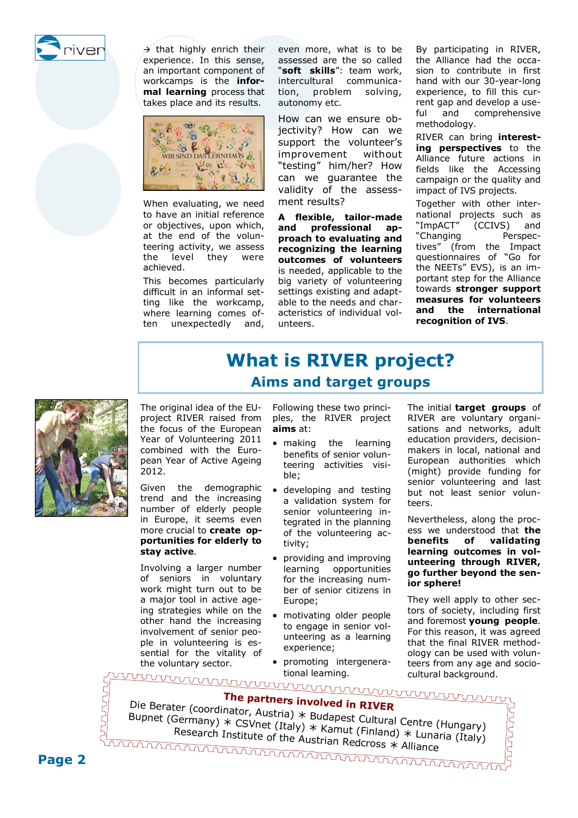

 $\rightarrow$  that highly enrich their experience. In this sense, an important component of workcamps is the **informal learning** process that takes place and its results.



When evaluating, we need to have an initial reference or objectives, upon which, at the end of the volunteering activity, we assess the level they were achieved.

This becomes particularly difficult in an informal setting like the workcamp, where learning comes often unexpectedly and, even more, what is to be assessed are the so called "**soft skills**": team work, intercultural communication, problem solving, autonomy etc.

How can we ensure objectivity? How can we support the volunteer's improvement without "testing" him/her? How can we guarantee the validity of the assessment results?

**A flexible, tailor-made and professional approach to evaluating and recognizing the learning outcomes of volunteers**  is needed, applicable to the big variety of volunteering settings existing and adaptable to the needs and characteristics of individual volunteers.

By participating in RIVER, the Alliance had the occasion to contribute in first hand with our 30-year-long experience, to fill this current gap and develop a useful and comprehensive methodology.

RIVER can bring **interesting perspectives** to the Alliance future actions in fields like the Accessing campaign or the quality and impact of IVS projects.

Together with other international projects such as "ImpACT" (CCIVS) and "Changing Perspectives" (from the Impact questionnaires of "Go for the NEETs" EVS), is an important step for the Alliance towards **stronger support measures for volunteers and the international recognition of IVS**.



**What is RIVER project? Aims and target groups**

The original idea of the EUproject RIVER raised from the focus of the European Year of Volunteering 2011 combined with the European Year of Active Ageing **aims** at:

Given the demographic trend and the increasing number of elderly people in Europe, it seems even more crucial to **create opportunities for elderly to stay active**.

2012.

Involving a larger number of seniors in voluntary work might turn out to be a major tool in active ageing strategies while on the other hand the increasing involvement of senior people in volunteering is essential for the vitality of the voluntary sector.

Following these two principles, the RIVER project

- making the learning benefits of senior volunteering activities visible;
- developing and testing a validation system for senior volunteering integrated in the planning of the volunteering activity;
- providing and improving learning opportunities for the increasing number of senior citizens in Europe;
- motivating older people to engage in senior volunteering as a learning experience;
- promoting intergenerational learning.

The initial **target groups** of RIVER are voluntary organisations and networks, adult education providers, decisionmakers in local, national and European authorities which (might) provide funding for senior volunteering and last but not least senior volunteers.

Nevertheless, along the process we understood that **the benefits of validating learning outcomes in volunteering through RIVER, go further beyond the senior sphere!** 

They well apply to other sectors of society, including first and foremost **young people**. For this reason, it was agreed that the final RIVER methodology can be used with volunteers from any age and sociocultural background.

| The partners involved in RIVER<br>rater (coordinator) * p. . |  |
|--------------------------------------------------------------|--|

**The Berater (coordinator, Austria)**  $*$  **Budapest Cultural Centre (Hungary)**<br>
Bupnet (Germany)  $*$  CSVnet (Italy)  $*$  Kamut (Finland)  $*$  Lunaria (Italy)<br>
Research Institute of the Austrian Redcross  $*$  Alliance Research Institute of the Austrian Redcross  $*$  Alliance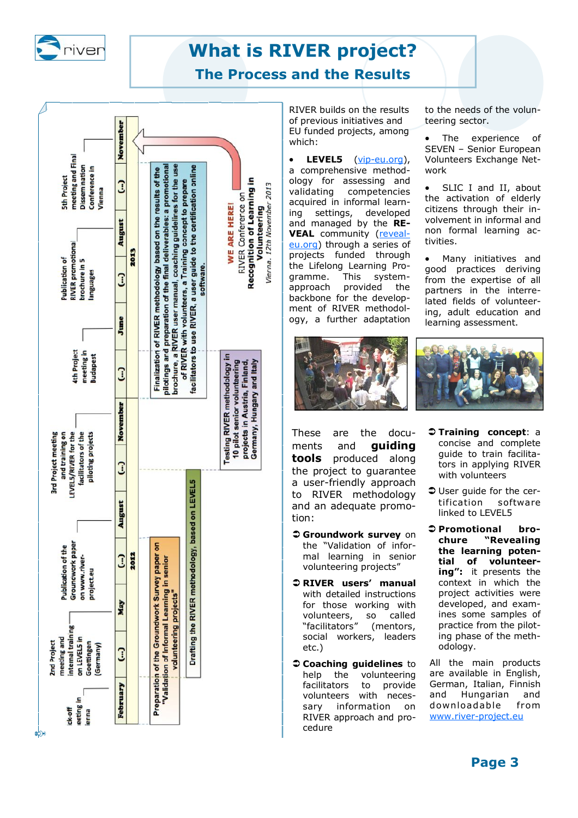

# **What is RIVER project?**

## **The Process and the Results**



RIVER builds on the results of previous initiatives and EU funded projects, among which:

 **LEVEL5** (vip-eu.org), a comprehensive methodology for assessing and validating competencies acquired in informal learn-<br>ing settings, developed ing settings, developed and managed by the **RE-VEAL** community (revealeu.org) through a series of projects funded through the Lifelong Learning Pro-<br>gramme. This systemgramme. This systemapproach provided the backbone for the development of RIVER methodology, a further adaptation



These are the documents and **guiding tools** produced along the project to guarantee a user-friendly approach to RIVER methodology and an adequate promotion:

- **Groundwork survey** on the "Validation of informal learning in senior volunteering projects"
- **RIVER users' manual**  with detailed instructions for those working with volunteers, so called "facilitators" (mentors, social workers, leaders etc.)
- **Coaching guidelines** to help the volunteering facilitators to provide volunteers with necessary information on RIVER approach and procedure

to the needs of the volunteering sector.

• The experience of SEVEN – Senior European Volunteers Exchange Network

 SLIC I and II, about the activation of elderly citizens through their involvement in informal and non formal learning activities.

 Many initiatives and good practices deriving from the expertise of all partners in the interrelated fields of volunteering, adult education and learning assessment.



- **Training concept**: a concise and complete guide to train facilitators in applying RIVER with volunteers
- **User quide for the cer**tification software linked to LEVEL5
- **Promotional brochure "Revealing the learning potential of volunteering":** it presents the context in which the project activities were developed, and examines some samples of practice from the piloting phase of the methodology.

All the main products are available in English, German, Italian, Finnish and Hungarian and downloadable from www.river-project.eu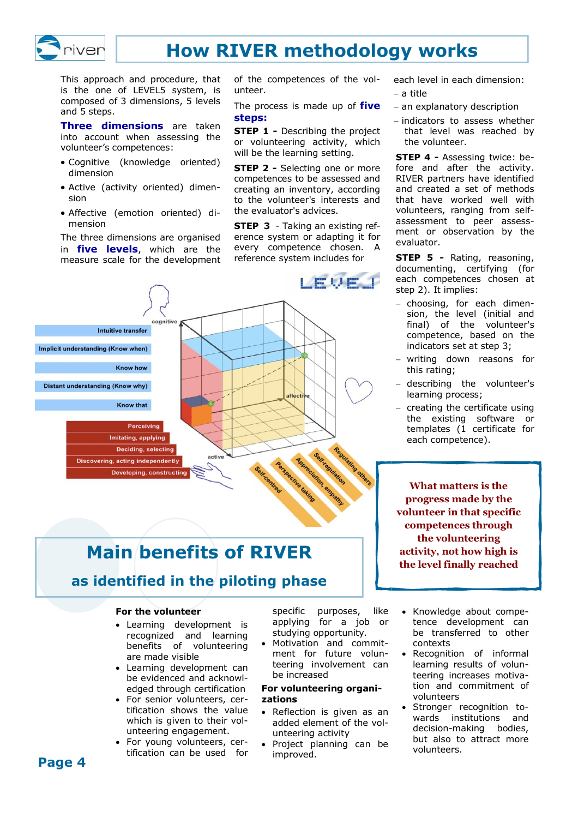

## **How RIVER methodology works**

This approach and procedure, that is the one of LEVEL5 system, is composed of 3 dimensions, 5 levels and 5 steps.

**Three dimensions** are taken into account when assessing the volunteer's competences:

- Cognitive (knowledge oriented) dimension
- Active (activity oriented) dimension
- Affective (emotion oriented) dimension

The three dimensions are organised in **five levels**, which are the measure scale for the development

of the competences of the volunteer.

The process is made up of **five steps:**

**STEP 1 -** Describing the project or volunteering activity, which will be the learning setting.

**STEP 2 -** Selecting one or more competences to be assessed and creating an inventory, according to the volunteer's interests and the evaluator's advices.

**STEP 3** - Taking an existing reference system or adapting it for every competence chosen. A reference system includes for



# **Main benefits of RIVER**

## **as identified in the piloting phase**

#### **For the volunteer**

- Learning development is recognized and learning benefits of volunteering are made visible
- Learning development can be evidenced and acknowledged through certification
- For senior volunteers, certification shows the value which is given to their volunteering engagement.
- For young volunteers, certification can be used for

specific purposes, like applying for a job or studying opportunity.

 Motivation and commitment for future volunteering involvement can be increased

#### **For volunteering organizations**

- Reflection is given as an added element of the volunteering activity
- Project planning can be improved.

each level in each dimension:

- a title
- an explanatory description
- $-$  indicators to assess whether that level was reached by the volunteer.

**STEP 4 -** Assessing twice: before and after the activity. RIVER partners have identified and created a set of methods that have worked well with volunteers, ranging from selfassessment to peer assessment or observation by the evaluator.

**STEP 5 -** Rating, reasoning, documenting, certifying (for each competences chosen at step 2). It implies:

- choosing, for each dimension, the level (initial and final) of the volunteer's competence, based on the indicators set at step 3;
- writing down reasons for this rating;
- describing the volunteer's learning process;
- $-$  creating the certificate using the existing software or templates (1 certificate for each competence).

**What matters is the progress made by the volunteer in that specific competences through the volunteering activity, not how high is the level finally reached**

- Knowledge about competence development can be transferred to other contexts
- Recognition of informal learning results of volunteering increases motivation and commitment of volunteers
- Stronger recognition towards institutions and decision-making bodies, but also to attract more volunteers.